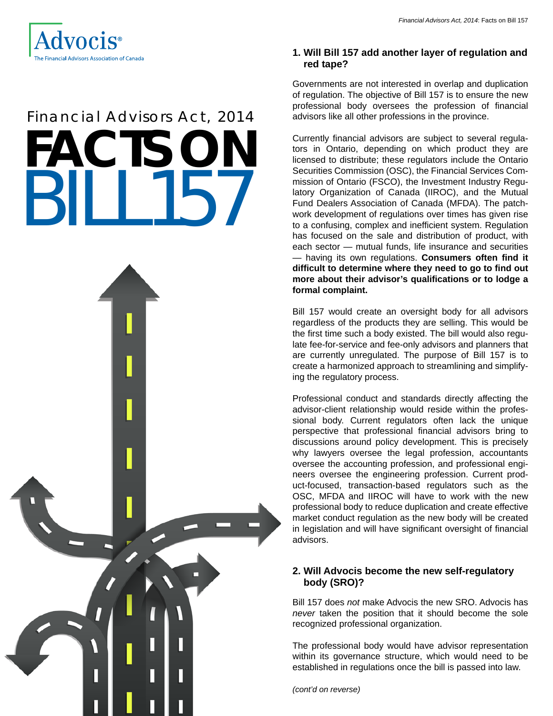

# *Financial Advisors Act, 2014* **FACTS ON** BILL157



# **1. Will Bill 157 add another layer of regulation and red tape?**

Governments are not interested in overlap and duplication of regulation. The objective of Bill 157 is to ensure the new professional body oversees the profession of financial advisors like all other professions in the province.

Currently financial advisors are subject to several regulators in Ontario, depending on which product they are licensed to distribute; these regulators include the Ontario Securities Commission (OSC), the Financial Services Commission of Ontario (FSCO), the Investment Industry Regulatory Organization of Canada (IIROC), and the Mutual Fund Dealers Association of Canada (MFDA). The patchwork development of regulations over times has given rise to a confusing, complex and inefficient system. Regulation has focused on the sale and distribution of product, with each sector — mutual funds, life insurance and securities — having its own regulations. **Consumers often find it difficult to determine where they need to go to find out more about their advisor's qualifications or to lodge a formal complaint.**

Bill 157 would create an oversight body for all advisors regardless of the products they are selling. This would be the first time such a body existed. The bill would also regulate fee-for-service and fee-only advisors and planners that are currently unregulated. The purpose of Bill 157 is to create a harmonized approach to streamlining and simplifying the regulatory process.

Professional conduct and standards directly affecting the advisor-client relationship would reside within the professional body. Current regulators often lack the unique perspective that professional financial advisors bring to discussions around policy development. This is precisely why lawyers oversee the legal profession, accountants oversee the accounting profession, and professional engineers oversee the engineering profession. Current product-focused, transaction-based regulators such as the OSC, MFDA and IIROC will have to work with the new professional body to reduce duplication and create effective market conduct regulation as the new body will be created in legislation and will have significant oversight of financial advisors.

# **2. Will Advocis become the new self-regulatory body (SRO)?**

Bill 157 does *not* make Advocis the new SRO. Advocis has *never* taken the position that it should become the sole recognized professional organization.

The professional body would have advisor representation within its governance structure, which would need to be established in regulations once the bill is passed into law.

*(cont'd on reverse)*